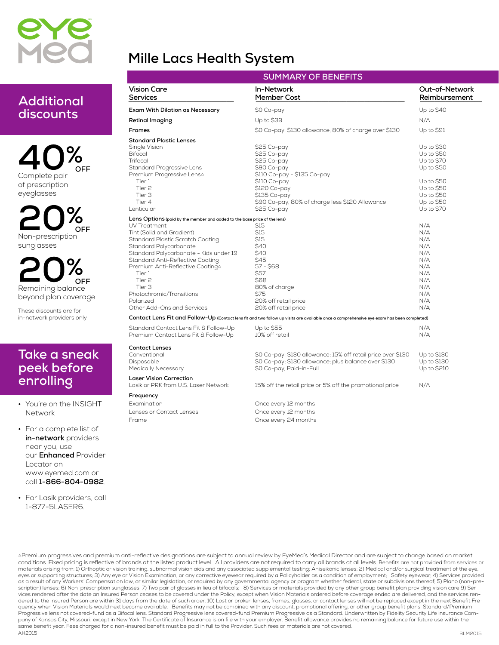

# **Mille Lacs Health System**

## **Additional discounts**

**40% Complete pair of prescription eyeglasses OFF**

**20% Non-prescription sunglasses OFF**

**20% Remaining balance beyond plan coverage OFF**

**These discounts are for in-network providers only**

### **Take a sneak peek before enrolling**

**• You're on the INSIGHT Network**

**• For a complete list of in-network providers near you, use our Enhanced Provider Locator on www.eyemed.com or call 1-866-804-0982.**

**• For Lasik providers, call 1-877-5LASER6.**

| <b>SUMMARY OF BENEFITS</b>                                                                                                                                                                                                                                                                                                                                                                                  |                                                                                                                                                                                                                                                                                               |                                                                                                                            |  |  |
|-------------------------------------------------------------------------------------------------------------------------------------------------------------------------------------------------------------------------------------------------------------------------------------------------------------------------------------------------------------------------------------------------------------|-----------------------------------------------------------------------------------------------------------------------------------------------------------------------------------------------------------------------------------------------------------------------------------------------|----------------------------------------------------------------------------------------------------------------------------|--|--|
| <b>Vision Care</b><br>Services                                                                                                                                                                                                                                                                                                                                                                              | In-Network<br>Member Cost                                                                                                                                                                                                                                                                     | Out-of-Network<br>Reimbursement                                                                                            |  |  |
| Exam With Dilation as Necessary                                                                                                                                                                                                                                                                                                                                                                             | \$0 Co-pay                                                                                                                                                                                                                                                                                    | Up to $$40$                                                                                                                |  |  |
| Retinal Imaging                                                                                                                                                                                                                                                                                                                                                                                             | Up to \$39                                                                                                                                                                                                                                                                                    | N/A                                                                                                                        |  |  |
| <b>Frames</b>                                                                                                                                                                                                                                                                                                                                                                                               | \$0 Co-pay; \$130 allowance; 80% of charge over \$130                                                                                                                                                                                                                                         | Up to \$91                                                                                                                 |  |  |
| <b>Standard Plastic Lenses</b><br>Single Vision<br><b>Bifocal</b><br>Trifocal<br>Standard Progressive Lens<br>Premium Progressive Lens△<br>Tier 1<br>Tier <sub>2</sub><br>Tier 3<br>Tier 4<br>Lenticular                                                                                                                                                                                                    | \$25 Co-pay<br>\$25 Co-pay<br>\$25 Co-pay<br>\$90 Co-pay<br>\$110 Co-pay - \$135 Co-pay<br>\$110 Co-pay<br>\$120 Co-pay<br>\$135 Co-pay<br>\$90 Co-pay, 80% of charge less \$120 Allowance<br>\$25 Co-pay                                                                                     | Up to \$30<br>Up to \$50<br>Up to \$70<br>Up to \$50<br>Up to \$50<br>Up to \$50<br>Up to \$50<br>Up to \$50<br>Up to \$70 |  |  |
| Lens Options (paid by the member and added to the base price of the lens)<br>UV Treatment<br>Tint (Solid and Gradient)<br>Standard Plastic Scratch Coating<br>Standard Polycarbonate<br>Standard Polycarbonate - Kids under 19<br>Standard Anti-Reflective Coating<br>Premium Anti-Reflective Coating^<br>Tier 1<br>Tier 2<br>Tier 3<br>Photochromic/Transitions<br>Polarized<br>Other Add-Ons and Services | \$15<br>\$15<br>\$15<br>\$40<br>\$40<br>\$45<br>57 - \$68<br>\$57<br>S68<br>80% of charge<br>S75<br>20% off retail price<br>20% off retail price<br>Contact Lens Fit and Follow-Up (Contact lens fit and two follow up visits are available once a comprehensive eye exam has been completed) | N/A<br>N/A<br>N/A<br>N/A<br>N/A<br>N/A<br>N/A<br>N/A<br>N/A<br>N/A<br>N/A<br>N/A<br>N/A                                    |  |  |
| Standard Contact Lens Fit & Follow-Up<br>Premium Contact Lens Fit & Follow-Up                                                                                                                                                                                                                                                                                                                               | Up to \$55<br>10% off retail                                                                                                                                                                                                                                                                  | N/A<br>N/A                                                                                                                 |  |  |
| <b>Contact Lenses</b><br>Conventional<br>Disposable<br>Medically Necessary                                                                                                                                                                                                                                                                                                                                  | \$0 Co-pay; \$130 allowance; 15% off retail price over \$130<br>\$0 Co-pay; \$130 allowance; plus balance over \$130<br>\$0 Co-pay, Paid-in-Full                                                                                                                                              | Up to \$130<br>Up to \$130<br>Up to \$210                                                                                  |  |  |
| <b>Laser Vision Correction</b><br>Lasik or PRK from U.S. Laser Network                                                                                                                                                                                                                                                                                                                                      | 15% off the retail price or 5% off the promotional price                                                                                                                                                                                                                                      | N/A                                                                                                                        |  |  |
| Frequency<br>Examination<br>Lenses or Contact Lenses<br>Frame                                                                                                                                                                                                                                                                                                                                               | Once every 12 months<br>Once every 12 months<br>Once every 24 months                                                                                                                                                                                                                          |                                                                                                                            |  |  |

conditions. Fixed pricing is reflective of brands at the listed product level . All providers are not required to carry all brands at all levels. Benefits are not provided from services or materials arising from: 1) Orthoptic or vision training, subnormal vision aids and any associated supplemental testing; Aniseikonic lenses; 2) Medical and/or surgical treatment of the eye, **AH2015** APremium progressives and premium anti-reflective designations are subject to annual review by EyeMed's Medical Director and are subject to change based on market eyes or supporting structures; 3) Any eye or Vision Examination, or any corrective eyewear required by a Policyholder as a condition of employment; Safety eyewear; 4) Services provided as a result of any Workers' Compensation law, or similar legislation, or required by any governmental agency or program whether federal, state or subdivisions thereof; 5) Plano (non-prescription) lenses; 6) Non-prescription sunglasses; 7) Two pair of glasses in lieu of bifocals; 8) Services or materials provided by any other group benefit plan providing vision care 9) Ser-<br>vices rendered after the date dered to the Insured Person are within 31 days from the date of such order. 10) Lost or broken lenses, frames, glasses, or contact lenses will not be replaced except in the next Benefit Frequency when Vision Materials would next become available. Benefits may not be combined with any discount, promotional offering, or other group benefit plans. Standard/Premium<br>Progressive lens not covered-fund as a Bifocal pany of Kansas City, Missouri, except in New York. The Certificate of Insurance is on file with your employer. Benefit allowance provides no remaining balance for future use within the same benefit year. Fees charged for a non-insured benefit must be paid in full to the Provider. Such fees or materials are not covered.